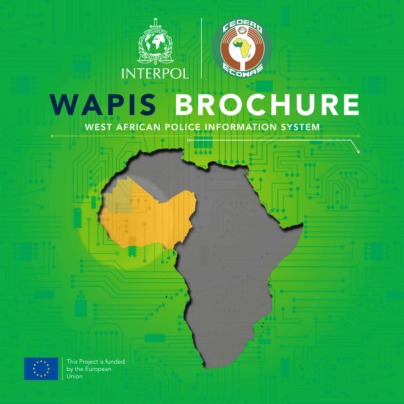



WEST AFRICAN POLICE INFORMATION SYSTEM



This Project is funded by the European Union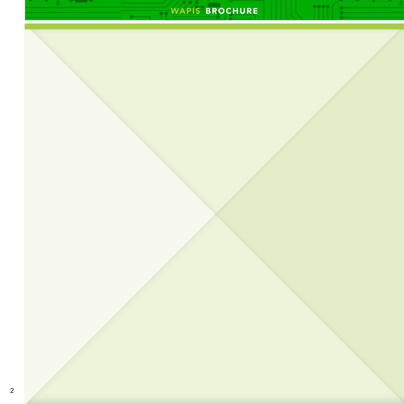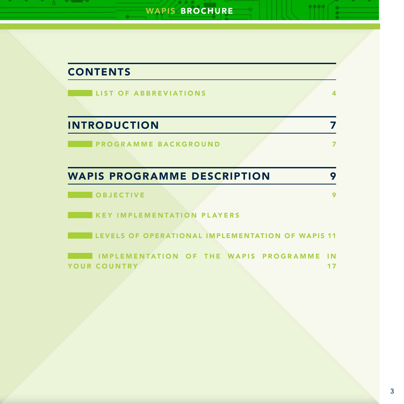# **CONTENTS**

| LIST OF ABBREVIATIONS |  |
|-----------------------|--|
|                       |  |

**INTRODUCTION** 7

PROGRAMME BACKGROUND 7

WAPIS PROGRAMME DESCRIPTION 9

**OBJECTIVE 9** 

KEY IMPLEMENTATION PLAYERS

LEVELS OF OPERATIONAL IMPLEMENTATION OF WAPIS 11

IMPLEMENTATION OF THE WAPIS PROGRAMME IN **YOUR COUNTRY** 17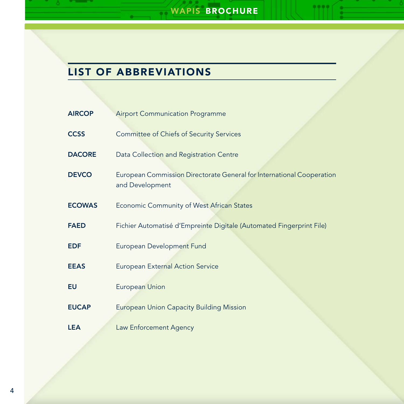# LIST OF ABBREVIATIONS

| <b>AIRCOP</b> | <b>Airport Communication Programme</b>                                                   |
|---------------|------------------------------------------------------------------------------------------|
| <b>CCSS</b>   | <b>Committee of Chiefs of Security Services</b>                                          |
| <b>DACORE</b> | Data Collection and Registration Centre                                                  |
| <b>DEVCO</b>  | European Commission Directorate General for International Cooperation<br>and Development |
| <b>ECOWAS</b> | Economic Community of West African States                                                |
| <b>FAED</b>   | Fichier Automatisé d'Empreinte Digitale (Automated Fingerprint File)                     |
| <b>EDF</b>    | <b>European Development Fund</b>                                                         |
| <b>EEAS</b>   | <b>European External Action Service</b>                                                  |
| <b>EU</b>     | <b>European Union</b>                                                                    |
| <b>EUCAP</b>  | <b>European Union Capacity Building Mission</b>                                          |
| <b>LEA</b>    | Law Enforcement Agency                                                                   |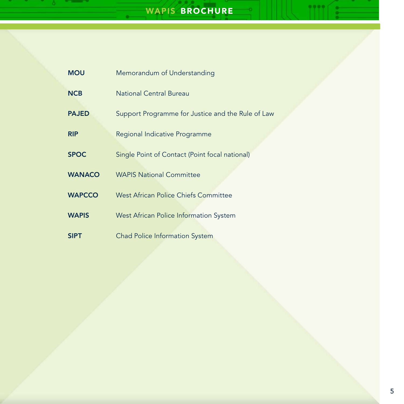| <b>MOU</b>    | Memorandum of Understanding                       |
|---------------|---------------------------------------------------|
| <b>NCB</b>    | National Central Bureau                           |
| <b>PAJED</b>  | Support Programme for Justice and the Rule of Law |
| <b>RIP</b>    | Regional Indicative Programme                     |
| <b>SPOC</b>   | Single Point of Contact (Point focal national)    |
| <b>WANACO</b> | <b>WAPIS National Committee</b>                   |
| <b>WAPCCO</b> | <b>West African Police Chiefs Committee</b>       |
| <b>WAPIS</b>  | West African Police Information System            |
| <b>SIPT</b>   | <b>Chad Police Information System</b>             |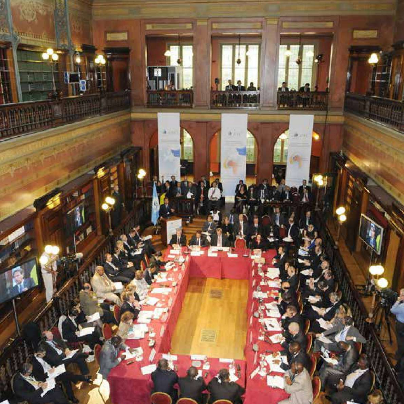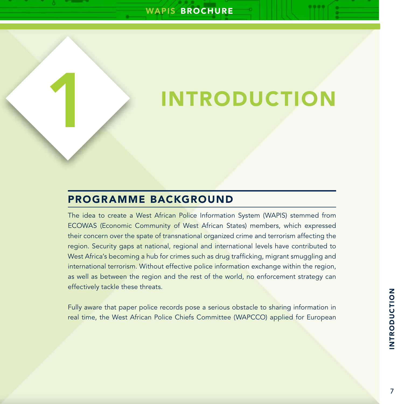# INTRODUCTION

# PROGRAMME BACKGROUND

1

The idea to create a West African Police Information System (WAPIS) stemmed from ECOWAS (Economic Community of West African States) members, which expressed their concern over the spate of transnational organized crime and terrorism affecting the region. Security gaps at national, regional and international levels have contributed to West Africa's becoming a hub for crimes such as drug trafficking, migrant smuggling and international terrorism. Without effective police information exchange within the region, as well as between the region and the rest of the world, no enforcement strategy can effectively tackle these threats.

Fully aware that paper police records pose a serious obstacle to sharing information in real time, the West African Police Chiefs Committee (WAPCCO) applied for European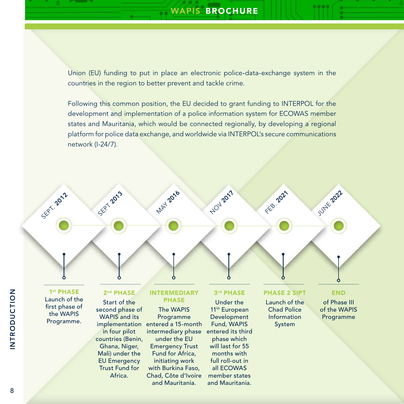Union (EU) funding to put in place an electronic police-data-exchange system in the countries in the region to better prevent and tackle crime.

Following this common position, the EU decided to grant funding to INTERPOL for the development and implementation of a police information system for ECOWAS member states and Mauritania, which would be connected regionally, by developing a regional platform for police data exchange, and worldwide via INTERPOL's secure communications network (I-24/7).



the WAPIS Programme.

implementation entered a 15-month WAPIS and its in four pilot countries (Benin, Ghana, Niger, Mali) under the EU Emergency Trust Fund for Africa.

member states and Mauritania. Programme intermediary phase under the EU Emergency Trust Fund for Africa, initiating work with Burkina Faso, Chad, Côte d'Ivoire and Mauritania.

Development Fund, WAPIS entered its third phase which will last for 55 months with full roll-out in all ECOWAS

Information System

Programme

INTRODUCTION

**INTRODUCTION**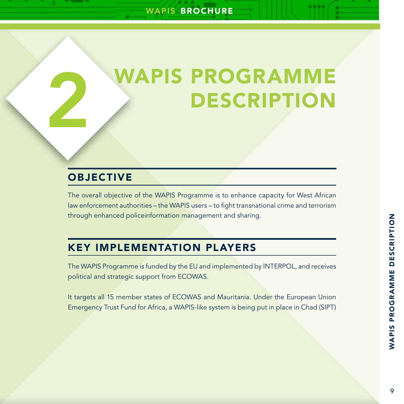# WAPIS PROGRAMME **DESCRIPTION**

# **OBJECTIVE**

2

The overall objective of the WAPIS Programme is to enhance capacity for West African law enforcement authorities – the WAPIS users – to fight transnational crime and terrorism through enhanced policeinformation management and sharing.

# KEY IMPLEMENTATION PLAYERS

The WAPIS Programme is funded by the EU and implemented by INTERPOL, and receives political and strategic support from ECOWAS.

It targets all 15 member states of ECOWAS and Mauritania. Under the European Union Emergency Trust Fund for Africa, a WAPIS-like system is being put in place in Chad (SIPT)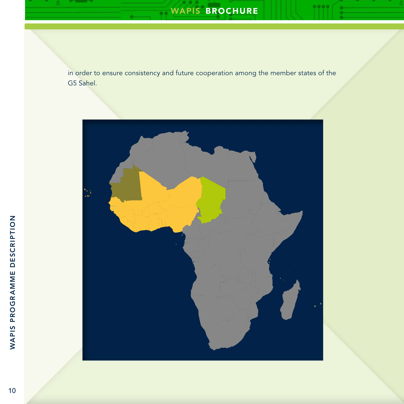in order to ensure consistency and future cooperation among the member states of the G5 Sahel.

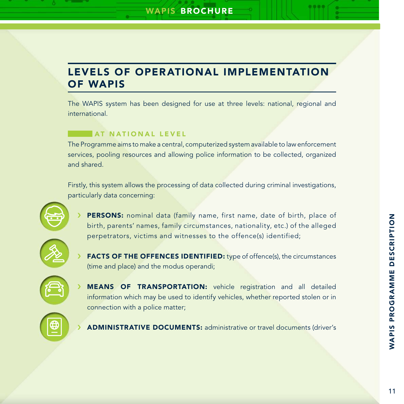# LEVELS OF OPERATIONAL IMPLEMENTATION OF WAPIS

The WAPIS system has been designed for use at three levels: national, regional and international.

#### AT NATIONAL LEVEL

The Programme aims to make a central, computerized system available to law enforcement services, pooling resources and allowing police information to be collected, organized and shared.

Firstly, this system allows the processing of data collected during criminal investigations, particularly data concerning:

- PERSONS: nominal data (family name, first name, date of birth, place of birth, parents' names, family circumstances, nationality, etc.) of the alleged perpetrators, victims and witnesses to the offence(s) identified;
- FACTS OF THE OFFENCES IDENTIFIED: type of offence(s), the circumstances (time and place) and the modus operandi;



- MEANS OF TRANSPORTATION: vehicle registration and all detailed information which may be used to identify vehicles, whether reported stolen or in connection with a police matter;
- › ADMINISTRATIVE DOCUMENTS: administrative or travel documents (driver's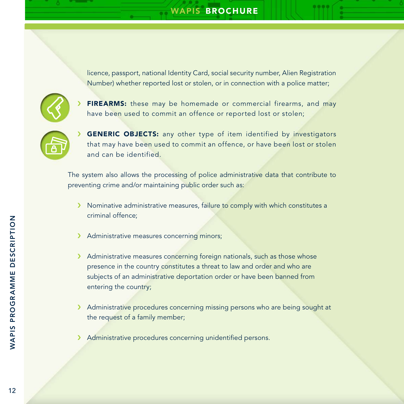licence, passport, national Identity Card, social security number, Alien Registration Number) whether reported lost or stolen, or in connection with a police matter;



FIREARMS: these may be homemade or commercial firearms, and may have been used to commit an offence or reported lost or stolen;



> GENERIC OBJECTS: any other type of item identified by investigators that may have been used to commit an offence, or have been lost or stolen and can be identified.

The system also allows the processing of police administrative data that contribute to preventing crime and/or maintaining public order such as:

- › Nominative administrative measures, failure to comply with which constitutes a criminal offence;
- > Administrative measures concerning minors;
- > Administrative measures concerning foreign nationals, such as those whose presence in the country constitutes a threat to law and order and who are subjects of an administrative deportation order or have been banned from entering the country;
- › Administrative procedures concerning missing persons who are being sought at the request of a family member;
- › Administrative procedures concerning unidentified persons.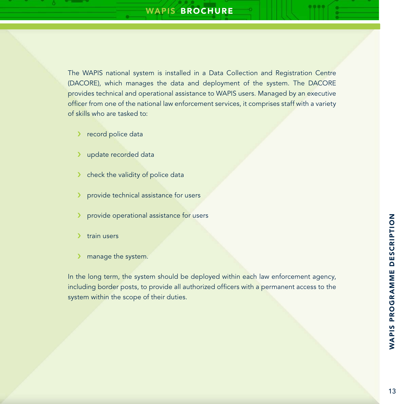The WAPIS national system is installed in a Data Collection and Registration Centre (DACORE), which manages the data and deployment of the system. The DACORE provides technical and operational assistance to WAPIS users. Managed by an executive officer from one of the national law enforcement services, it comprises staff with a variety of skills who are tasked to:

- > record police data
- > update recorded data
- > check the validity of police data
- › provide technical assistance for users
- › provide operational assistance for users
- › train users
- > manage the system.

In the long term, the system should be deployed within each law enforcement agency, including border posts, to provide all authorized officers with a permanent access to the system within the scope of their duties.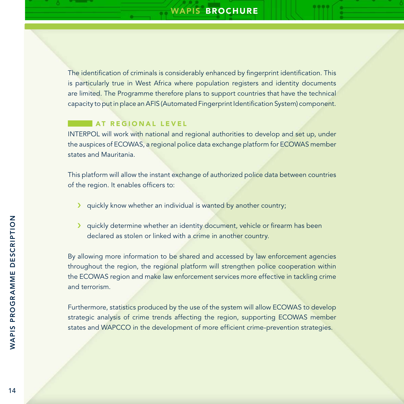The identification of criminals is considerably enhanced by fingerprint identification. This is particularly true in West Africa where population registers and identity documents are limited. The Programme therefore plans to support countries that have the technical capacity to put in place an AFIS (Automated Fingerprint Identification System) component.

#### **AT REGIONAL LEVEL**

INTERPOL will work with national and regional authorities to develop and set up, under the auspices of ECOWAS, a regional police data exchange platform for ECOWAS member states and Mauritania.

This platform will allow the instant exchange of authorized police data between countries of the region. It enables officers to:

- › quickly know whether an individual is wanted by another country;
- › quickly determine whether an identity document, vehicle or firearm has been declared as stolen or linked with a crime in another country.

By allowing more information to be shared and accessed by law enforcement agencies throughout the region, the regional platform will strengthen police cooperation within the ECOWAS region and make law enforcement services more effective in tackling crime and terrorism.

Furthermore, statistics produced by the use of the system will allow ECOWAS to develop strategic analysis of crime trends affecting the region, supporting ECOWAS member states and WAPCCO in the development of more efficient crime-prevention strategies.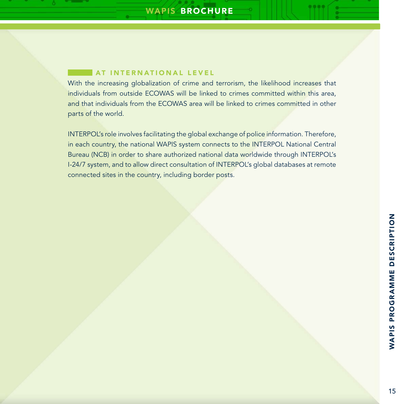#### AT INTERNATIONAL LEVEL

With the increasing globalization of crime and terrorism, the likelihood increases that individuals from outside ECOWAS will be linked to crimes committed within this area, and that individuals from the ECOWAS area will be linked to crimes committed in other parts of the world.

INTERPOL's role involves facilitating the global exchange of police information. Therefore, in each country, the national WAPIS system connects to the INTERPOL National Central Bureau (NCB) in order to share authorized national data worldwide through INTERPOL's I-24/7 system, and to allow direct consultation of INTERPOL's global databases at remote connected sites in the country, including border posts.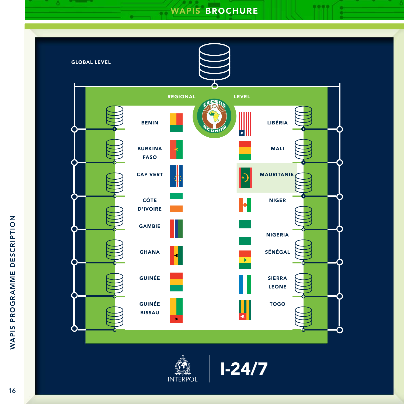

I-24/7



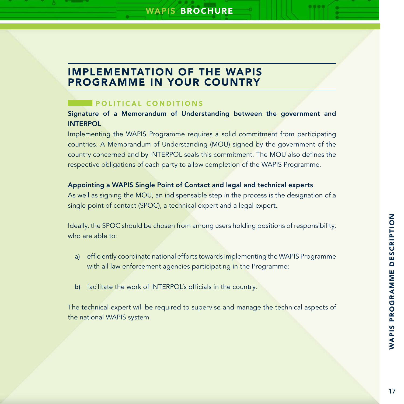### IMPLEMENTATION OF THE WAPIS PROGRAMME IN YOUR COUNTRY

#### POLITICAL CONDITIONS

#### Signature of a Memorandum of Understanding between the government and INTERPOL

Implementing the WAPIS Programme requires a solid commitment from participating countries. A Memorandum of Understanding (MOU) signed by the government of the country concerned and by INTERPOL seals this commitment. The MOU also defines the respective obligations of each party to allow completion of the WAPIS Programme.

#### Appointing a WAPIS Single Point of Contact and legal and technical experts

As well as signing the MOU, an indispensable step in the process is the designation of a single point of contact (SPOC), a technical expert and a legal expert.

Ideally, the SPOC should be chosen from among users holding positions of responsibility, who are able to:

- a) efficiently coordinate national efforts towards implementing the WAPIS Programme with all law enforcement agencies participating in the Programme;
- b) facilitate the work of INTERPOL's officials in the country.

The technical expert will be required to supervise and manage the technical aspects of the national WAPIS system.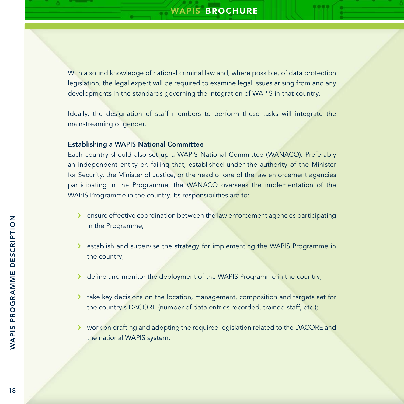With a sound knowledge of national criminal law and, where possible, of data protection legislation, the legal expert will be required to examine legal issues arising from and any developments in the standards governing the integration of WAPIS in that country.

Ideally, the designation of staff members to perform these tasks will integrate the mainstreaming of gender.

#### Establishing a WAPIS National Committee

Each country should also set up a WAPIS National Committee (WANACO). Preferably an independent entity or, failing that, established under the authority of the Minister for Security, the Minister of Justice, or the head of one of the law enforcement agencies participating in the Programme, the WANACO oversees the implementation of the WAPIS Programme in the country. Its responsibilities are to:

- > ensure effective coordination between the law enforcement agencies participating in the Programme;
- › establish and supervise the strategy for implementing the WAPIS Programme in the country;
- › define and monitor the deployment of the WAPIS Programme in the country;
- I take key decisions on the location, management, composition and targets set for the country's DACORE (number of data entries recorded, trained staff, etc.);
- › work on drafting and adopting the required legislation related to the DACORE and the national WAPIS system.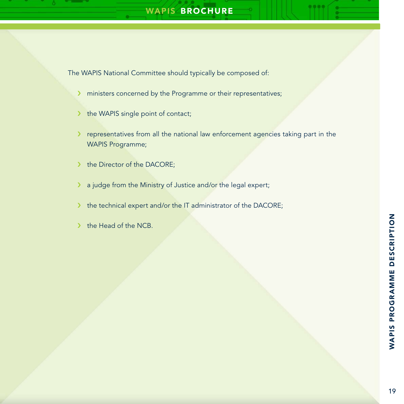The WAPIS National Committee should typically be composed of:

- › ministers concerned by the Programme or their representatives;
- > the WAPIS single point of contact;
- › representatives from all the national law enforcement agencies taking part in the WAPIS Programme;
- > the Director of the DACORE;
- > a judge from the Ministry of Justice and/or the legal expert;
- › the technical expert and/or the IT administrator of the DACORE;
- > the Head of the NCB.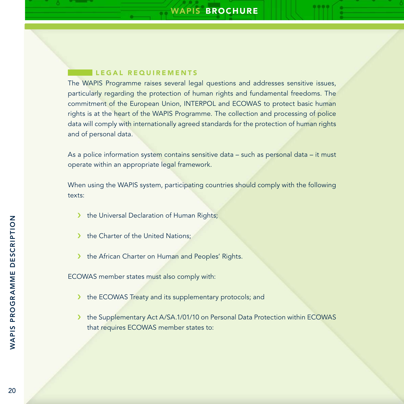#### LEGAL REQUIREMENTS

The WAPIS Programme raises several legal questions and addresses sensitive issues, particularly regarding the protection of human rights and fundamental freedoms. The commitment of the European Union, INTERPOL and ECOWAS to protect basic human rights is at the heart of the WAPIS Programme. The collection and processing of police data will comply with internationally agreed standards for the protection of human rights and of personal data.

As a police information system contains sensitive data – such as personal data – it must operate within an appropriate legal framework.

When using the WAPIS system, participating countries should comply with the following texts:

- > the Universal Declaration of Human Rights;
- > the Charter of the United Nations;
- > the African Charter on Human and Peoples' Rights.

ECOWAS member states must also comply with:

- > the ECOWAS Treaty and its supplementary protocols; and
- > the Supplementary Act A/SA.1/01/10 on Personal Data Protection within ECOWAS that requires ECOWAS member states to: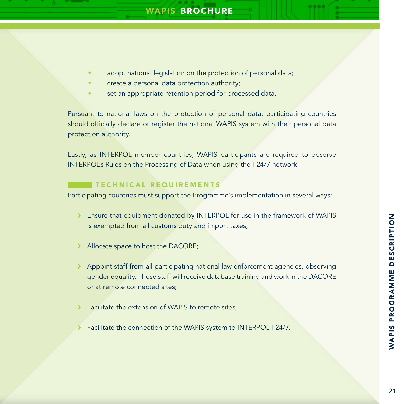- adopt national legislation on the protection of personal data;
- create a personal data protection authority;
- set an appropriate retention period for processed data.

Pursuant to national laws on the protection of personal data, participating countries should officially declare or register the national WAPIS system with their personal data protection authority.

Lastly, as INTERPOL member countries, WAPIS participants are required to observe INTERPOL's Rules on the Processing of Data when using the I-24/7 network.

#### TECHNICAL REQUIREMENTS

Participating countries must support the Programme's implementation in several ways:

- › Ensure that equipment donated by INTERPOL for use in the framework of WAPIS is exempted from all customs duty and import taxes;
- > Allocate space to host the DACORE;
- › Appoint staff from all participating national law enforcement agencies, observing gender equality. These staff will receive database training and work in the DACORE or at remote connected sites;
- › Facilitate the extension of WAPIS to remote sites;
- > Facilitate the connection of the WAPIS system to INTERPOL I-24/7.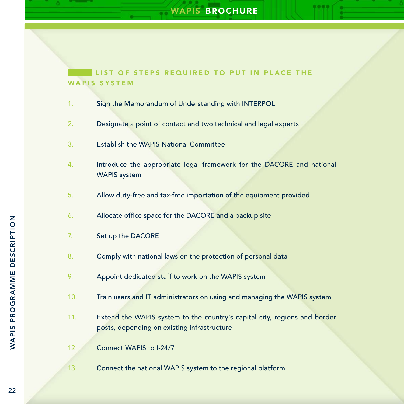#### LIST OF STEPS REQUIRED TO PUT IN PLACE THE WAPIS SYSTEM

- 1. Sign the Memorandum of Understanding with INTERPOL
- 2. Designate a point of contact and two technical and legal experts
- 3. Establish the WAPIS National Committee
- 4. Introduce the appropriate legal framework for the DACORE and national WAPIS system
- 5. Allow duty-free and tax-free importation of the equipment provided
- 6. Allocate office space for the DACORE and a backup site
- 7. Set up the DACORE
- 8. Comply with national laws on the protection of personal data
- 9. Appoint dedicated staff to work on the WAPIS system
- 10. Train users and IT administrators on using and managing the WAPIS system
- 11. Extend the WAPIS system to the country's capital city, regions and border posts, depending on existing infrastructure
- 12. Connect WAPIS to I-24/7
- 13. Connect the national WAPIS system to the regional platform.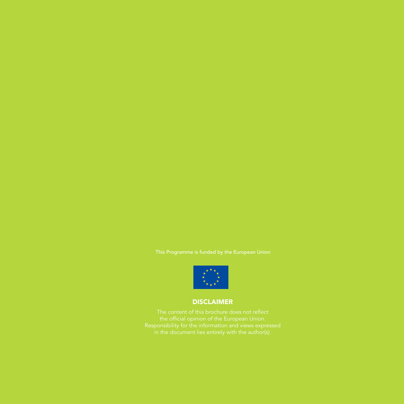

#### DISCLAIMER